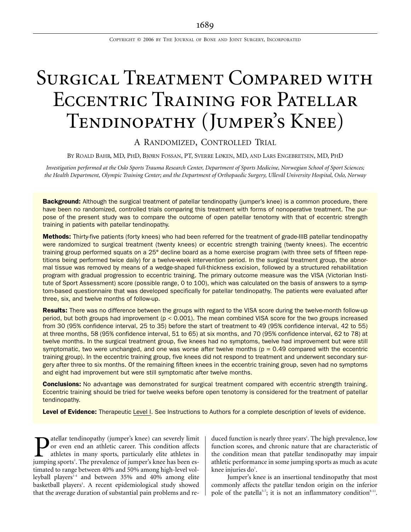COPYRIGHT © 2006 BY THE JOURNAL OF BONE AND JOINT SURGERY, INCORPORATED

# SURGICAL TREATMENT COMPARED WITH Eccentric Training for Patellar Tendinopathy (Jumper's Knee)

# A RANDOMIZED, CONTROLLED TRIAL

BY ROALD BAHR, MD, PHD, BJØRN FOSSAN, PT, SVERRE LØKEN, MD, AND LARS ENGEBRETSEN, MD, PHD

*Investigation performed at the Oslo Sports Trauma Research Center, Department of Sports Medicine, Norwegian School of Sport Sciences; the Health Department, Olympic Training Center; and the Department of Orthopaedic Surgery, Ullevål University Hospital, Oslo, Norway*

**Background:** Although the surgical treatment of patellar tendinopathy (jumper's knee) is a common procedure, there have been no randomized, controlled trials comparing this treatment with forms of nonoperative treatment. The purpose of the present study was to compare the outcome of open patellar tenotomy with that of eccentric strength training in patients with patellar tendinopathy.

Methods: Thirty-five patients (forty knees) who had been referred for the treatment of grade-IIIB patellar tendinopathy were randomized to surgical treatment (twenty knees) or eccentric strength training (twenty knees). The eccentric training group performed squats on a 25° decline board as a home exercise program (with three sets of fifteen repetitions being performed twice daily) for a twelve-week intervention period. In the surgical treatment group, the abnormal tissue was removed by means of a wedge-shaped full-thickness excision, followed by a structured rehabilitation program with gradual progression to eccentric training. The primary outcome measure was the VISA (Victorian Institute of Sport Assessment) score (possible range, 0 to 100), which was calculated on the basis of answers to a symptom-based questionnaire that was developed specifically for patellar tendinopathy. The patients were evaluated after three, six, and twelve months of follow-up.

Results: There was no difference between the groups with regard to the VISA score during the twelve-month follow-up period, but both groups had improvement (p < 0.001). The mean combined VISA score for the two groups increased from 30 (95% confidence interval, 25 to 35) before the start of treatment to 49 (95% confidence interval, 42 to 55) at three months, 58 (95% confidence interval, 51 to 65) at six months, and 70 (95% confidence interval, 62 to 78) at twelve months. In the surgical treatment group, five knees had no symptoms, twelve had improvement but were still symptomatic, two were unchanged, and one was worse after twelve months ( $p = 0.49$  compared with the eccentric training group). In the eccentric training group, five knees did not respond to treatment and underwent secondary surgery after three to six months. Of the remaining fifteen knees in the eccentric training group, seven had no symptoms and eight had improvement but were still symptomatic after twelve months.

**Conclusions:** No advantage was demonstrated for surgical treatment compared with eccentric strength training. Eccentric training should be tried for twelve weeks before open tenotomy is considered for the treatment of patellar tendinopathy.

Level of Evidence: Therapeutic Level I. See Instructions to Authors for a complete description of levels of evidence.

atellar tendinopathy (jumper's knee) can severely limit or even end an athletic career. This condition affects athletes in many sports, particularly elite athletes in **D** atellar tendinopathy (jumper's knee) can severely limit<br>or even end an athletic career. This condition affects<br>athletes in many sports, particularly elite athletes in<br>jumping sports<sup>1</sup>. The prevalence of jumper's knee timated to range between 40% and 50% among high-level volleyball players<sup>1-4</sup> and between 35% and 40% among elite basketball players<sup>1</sup>. A recent epidemiological study showed that the average duration of substantial pain problems and re-

duced function is nearly three years<sup>1</sup>. The high prevalence, low function scores, and chronic nature that are characteristic of the condition mean that patellar tendinopathy may impair athletic performance in some jumping sports as much as acute knee injuries do $^{\scriptscriptstyle{1}}$ .

Jumper's knee is an insertional tendinopathy that most commonly affects the patellar tendon origin on the inferior pole of the patella<sup>5-7</sup>; it is not an inflammatory condition<sup>8-11</sup>.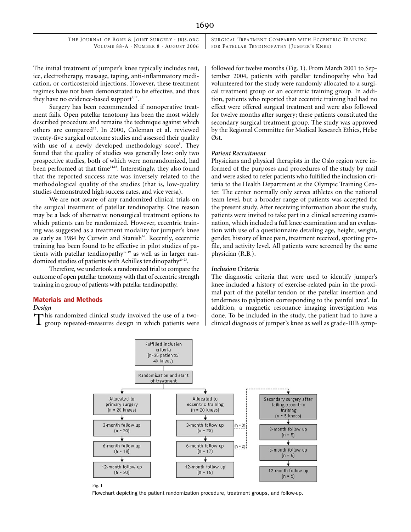## 1690

 THE JOURNAL OF BONE & JOINT SURGERY · JBJS.ORG VOLUME 88-A · NUMBER 8 · AUGUST 2006 SURGICAL TREATMENT COMPARED WITH ECCENTRIC TRAINING FOR PATELLAR TENDINOPATHY (JUMPER'S KNEE)

The initial treatment of jumper's knee typically includes rest, ice, electrotherapy, massage, taping, anti-inflammatory medication, or corticosteroid injections. However, these treatment regimes have not been demonstrated to be effective, and thus they have no evidence-based support $7,12$ .

Surgery has been recommended if nonoperative treatment fails. Open patellar tenotomy has been the most widely described procedure and remains the technique against which others are compared<sup>13</sup>. In 2000, Coleman et al. reviewed twenty-five surgical outcome studies and assessed their quality with use of a newly developed methodology score<sup>5</sup>. They found that the quality of studies was generally low: only two prospective studies, both of which were nonrandomized, had been performed at that time<sup>14,15</sup>. Interestingly, they also found that the reported success rate was inversely related to the methodological quality of the studies (that is, low-quality studies demonstrated high success rates, and vice versa).

We are not aware of any randomized clinical trials on the surgical treatment of patellar tendinopathy. One reason may be a lack of alternative nonsurgical treatment options to which patients can be randomized. However, eccentric training was suggested as a treatment modality for jumper's knee as early as 1984 by Curwin and Stanish<sup>16</sup>. Recently, eccentric training has been found to be effective in pilot studies of patients with patellar tendinopathy<sup>17-19</sup> as well as in larger randomized studies of patients with Achilles tendinopathy<sup>20-23</sup>.

Therefore, we undertook a randomized trial to compare the outcome of open patellar tenotomy with that of eccentric strength training in a group of patients with patellar tendinopathy.

## Materials and Methods

#### *Design*

his randomized clinical study involved the use of a two-This randomized clinical study involved the use of a two-<br>done. To be included in the study, the patient had to have a group repeated-measures design in which patients were<br>clinical diagnosis of jumper's knee as well as gr

followed for twelve months (Fig. 1). From March 2001 to September 2004, patients with patellar tendinopathy who had volunteered for the study were randomly allocated to a surgical treatment group or an eccentric training group. In addition, patients who reported that eccentric training had had no effect were offered surgical treatment and were also followed for twelve months after surgery; these patients constituted the secondary surgical treatment group. The study was approved by the Regional Committee for Medical Research Ethics, Helse Øst.

#### *Patient Recruitment*

Physicians and physical therapists in the Oslo region were informed of the purposes and procedures of the study by mail and were asked to refer patients who fulfilled the inclusion criteria to the Health Department at the Olympic Training Center. The center normally only serves athletes on the national team level, but a broader range of patients was accepted for the present study. After receiving information about the study, patients were invited to take part in a clinical screening examination, which included a full knee examination and an evaluation with use of a questionnaire detailing age, height, weight, gender, history of knee pain, treatment received, sporting profile, and activity level. All patients were screened by the same physician (R.B.).

## *Inclusion Criteria*

The diagnostic criteria that were used to identify jumper's knee included a history of exercise-related pain in the proximal part of the patellar tendon or the patellar insertion and tenderness to palpation corresponding to the painful area<sup>4</sup>. In addition, a magnetic resonance imaging investigation was



#### Fig. 1

Flowchart depicting the patient randomization procedure, treatment groups, and follow-up.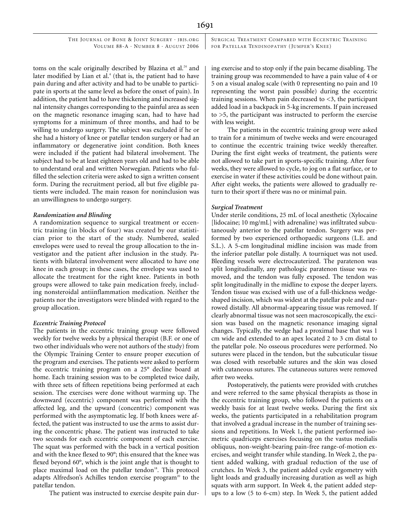SURGICAL TREATMENT COMPARED WITH ECCENTRIC TRAINING FOR PATELLAR TENDINOPATHY (JUMPER'S KNEE)

toms on the scale originally described by Blazina et al.<sup>24</sup> and later modified by Lian et al.<sup>4</sup> (that is, the patient had to have pain during and after activity and had to be unable to participate in sports at the same level as before the onset of pain). In addition, the patient had to have thickening and increased signal intensity changes corresponding to the painful area as seen on the magnetic resonance imaging scan, had to have had symptoms for a minimum of three months, and had to be willing to undergo surgery. The subject was excluded if he or she had a history of knee or patellar tendon surgery or had an inflammatory or degenerative joint condition. Both knees were included if the patient had bilateral involvement. The subject had to be at least eighteen years old and had to be able to understand oral and written Norwegian. Patients who fulfilled the selection criteria were asked to sign a written consent form. During the recruitment period, all but five eligible patients were included. The main reason for noninclusion was an unwillingness to undergo surgery.

#### *Randomization and Blinding*

A randomization sequence to surgical treatment or eccentric training (in blocks of four) was created by our statistician prior to the start of the study. Numbered, sealed envelopes were used to reveal the group allocation to the investigator and the patient after inclusion in the study. Patients with bilateral involvement were allocated to have one knee in each group; in these cases, the envelope was used to allocate the treatment for the right knee. Patients in both groups were allowed to take pain medication freely, including nonsteroidal antiinflammation medication. Neither the patients nor the investigators were blinded with regard to the group allocation.

## *Eccentric Training Protocol*

The patients in the eccentric training group were followed weekly for twelve weeks by a physical therapist (B.F. or one of two other individuals who were not authors of the study) from the Olympic Training Center to ensure proper execution of the program and exercises. The patients were asked to perform the eccentric training program on a 25° decline board at home. Each training session was to be completed twice daily, with three sets of fifteen repetitions being performed at each session. The exercises were done without warming up. The downward (eccentric) component was performed with the affected leg, and the upward (concentric) component was performed with the asymptomatic leg. If both knees were affected, the patient was instructed to use the arms to assist during the concentric phase. The patient was instructed to take two seconds for each eccentric component of each exercise. The squat was performed with the back in a vertical position and with the knee flexed to 90°; this ensured that the knee was flexed beyond 60°, which is the joint angle that is thought to place maximal load on the patellar tendon $18$ . This protocol adapts Alfredson's Achilles tendon exercise program<sup>20</sup> to the patellar tendon.

The patient was instructed to exercise despite pain dur-

ing exercise and to stop only if the pain became disabling. The training group was recommended to have a pain value of 4 or 5 on a visual analog scale (with 0 representing no pain and 10 representing the worst pain possible) during the eccentric training sessions. When pain decreased to  $\leq$ 3, the participant added load in a backpack in 5-kg increments. If pain increased to >5, the participant was instructed to perform the exercise with less weight.

The patients in the eccentric training group were asked to train for a minimum of twelve weeks and were encouraged to continue the eccentric training twice weekly thereafter. During the first eight weeks of treatment, the patients were not allowed to take part in sports-specific training. After four weeks, they were allowed to cycle, to jog on a flat surface, or to exercise in water if these activities could be done without pain. After eight weeks, the patients were allowed to gradually return to their sport if there was no or minimal pain.

#### *Surgical Treatment*

Under sterile conditions, 25 mL of local anesthetic (Xylocaine [lidocaine; 10 mg/mL] with adrenaline) was infiltrated subcutaneously anterior to the patellar tendon. Surgery was performed by two experienced orthopaedic surgeons (L.E. and S.L.). A 5-cm longitudinal midline incision was made from the inferior patellar pole distally. A tourniquet was not used. Bleeding vessels were electrocauterized. The paratenon was split longitudinally, any pathologic paratenon tissue was removed, and the tendon was fully exposed. The tendon was split longitudinally in the midline to expose the deeper layers. Tendon tissue was excised with use of a full-thickness wedgeshaped incision, which was widest at the patellar pole and narrowed distally. All abnormal-appearing tissue was removed. If clearly abnormal tissue was not seen macroscopically, the excision was based on the magnetic resonance imaging signal changes. Typically, the wedge had a proximal base that was 1 cm wide and extended to an apex located 2 to 3 cm distal to the patellar pole. No osseous procedures were performed. No sutures were placed in the tendon, but the subcuticular tissue was closed with resorbable sutures and the skin was closed with cutaneous sutures. The cutaneous sutures were removed after two weeks.

Postoperatively, the patients were provided with crutches and were referred to the same physical therapists as those in the eccentric training group, who followed the patients on a weekly basis for at least twelve weeks. During the first six weeks, the patients participated in a rehabilitation program that involved a gradual increase in the number of training sessions and repetitions. In Week 1, the patient performed isometric quadriceps exercises focusing on the vastus medialis obliquus, non-weight-bearing pain-free range-of-motion exercises, and weight transfer while standing. In Week 2, the patient added walking, with gradual reduction of the use of crutches. In Week 3, the patient added cycle ergometry with light loads and gradually increasing duration as well as high squats with arm support. In Week 4, the patient added stepups to a low (5 to 6-cm) step. In Week 5, the patient added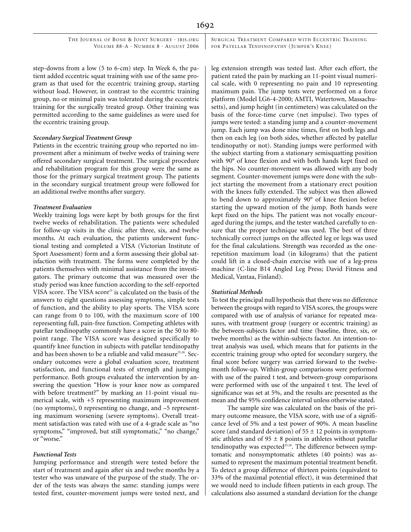SURGICAL TREATMENT COMPARED WITH ECCENTRIC TRAINING FOR PATELLAR TENDINOPATHY (JUMPER'S KNEE)

step-downs from a low (5 to 6-cm) step. In Week 6, the patient added eccentric squat training with use of the same program as that used for the eccentric training group, starting without load. However, in contrast to the eccentric training group, no or minimal pain was tolerated during the eccentric training for the surgically treated group. Other training was permitted according to the same guidelines as were used for the eccentric training group.

#### *Secondary Surgical Treatment Group*

Patients in the eccentric training group who reported no improvement after a minimum of twelve weeks of training were offered secondary surgical treatment. The surgical procedure and rehabilitation program for this group were the same as those for the primary surgical treatment group. The patients in the secondary surgical treatment group were followed for an additional twelve months after surgery.

#### *Treatment Evaluation*

Weekly training logs were kept by both groups for the first twelve weeks of rehabilitation. The patients were scheduled for follow-up visits in the clinic after three, six, and twelve months. At each evaluation, the patients underwent functional testing and completed a VISA (Victorian Institute of Sport Assessment) form and a form assessing their global satisfaction with treatment. The forms were completed by the patients themselves with minimal assistance from the investigators. The primary outcome that was measured over the study period was knee function according to the self-reported VISA score. The VISA score<sup>25</sup> is calculated on the basis of the answers to eight questions assessing symptoms, simple tests of function, and the ability to play sports. The VISA score can range from 0 to 100, with the maximum score of 100 representing full, pain-free function. Competing athletes with patellar tendinopathy commonly have a score in the 50 to 80 point range. The VISA score was designed specifically to quantify knee function in subjects with patellar tendinopathy and has been shown to be a reliable and valid measure<sup>25,26</sup>. Secondary outcomes were a global evaluation score, treatment satisfaction, and functional tests of strength and jumping performance. Both groups evaluated the intervention by answering the question "How is your knee now as compared with before treatment?" by marking an 11-point visual numerical scale, with +5 representing maximum improvement (no symptoms), 0 representing no change, and –5 representing maximum worsening (severe symptoms). Overall treatment satisfaction was rated with use of a 4-grade scale as "no symptoms," "improved, but still symptomatic," "no change," or "worse."

## *Functional Tests*

Jumping performance and strength were tested before the start of treatment and again after six and twelve months by a tester who was unaware of the purpose of the study. The order of the tests was always the same: standing jumps were tested first, counter-movement jumps were tested next, and

leg extension strength was tested last. After each effort, the patient rated the pain by marking an 11-point visual numerical scale, with 0 representing no pain and 10 representing maximum pain. The jump tests were performed on a force platform (Model LG6-4-2000; AMTI, Watertown, Massachusetts), and jump height (in centimeters) was calculated on the basis of the force-time curve (net impulse). Two types of jumps were tested: a standing jump and a counter-movement jump. Each jump was done nine times, first on both legs and then on each leg (on both sides, whether affected by patellar tendinopathy or not). Standing jumps were performed with the subject starting from a stationary semisquatting position with 90° of knee flexion and with both hands kept fixed on the hips. No counter-movement was allowed with any body segment. Counter-movement jumps were done with the subject starting the movement from a stationary erect position with the knees fully extended. The subject was then allowed to bend down to approximately 90° of knee flexion before starting the upward motion of the jump. Both hands were kept fixed on the hips. The patient was not vocally encouraged during the jumps, and the tester watched carefully to ensure that the proper technique was used. The best of three technically correct jumps on the affected leg or legs was used for the final calculations. Strength was recorded as the onerepetition maximum load (in kilograms) that the patient could lift in a closed-chain exercise with use of a leg-press machine (C-line B14 Angled Leg Press; David Fitness and Medical, Vantaa, Finland).

#### *Statistical Methods*

To test the principal null hypothesis that there was no difference between the groups with regard to VISA scores, the groups were compared with use of analysis of variance for repeated measures, with treatment group (surgery or eccentric training) as the between-subjects factor and time (baseline, three, six, or twelve months) as the within-subjects factor. An intention-totreat analysis was used, which means that for patients in the eccentric training group who opted for secondary surgery, the final score before surgery was carried forward to the twelvemonth follow-up. Within-group comparisons were performed with use of the paired t test, and between-group comparisons were performed with use of the unpaired t test. The level of significance was set at 5%, and the results are presented as the mean and the 95% confidence interval unless otherwise stated.

The sample size was calculated on the basis of the primary outcome measure, the VISA score, with use of a significance level of 5% and a test power of 90%. A mean baseline score (and standard deviation) of  $55 \pm 12$  points in symptomatic athletes and of  $95 \pm 8$  points in athletes without patellar tendinopathy was expected<sup>25,26</sup>. The difference between symptomatic and nonsymptomatic athletes (40 points) was assumed to represent the maximum potential treatment benefit. To detect a group difference of thirteen points (equivalent to 33% of the maximal potential effect), it was determined that we would need to include fifteen patients in each group. The calculations also assumed a standard deviation for the change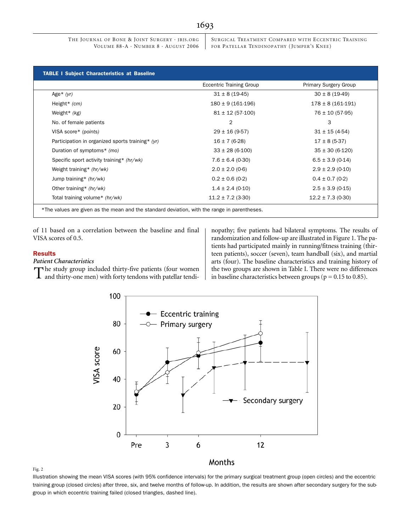SURGICAL TREATMENT COMPARED WITH ECCENTRIC TRAINING FOR PATELLAR TENDINOPATHY (JUMPER'S KNEE)

|                                                  | <b>Eccentric Training Group</b> | Primary Surgery Group |
|--------------------------------------------------|---------------------------------|-----------------------|
| Age $*(yr)$                                      | $31 \pm 8 (19-45)$              | $30 \pm 8$ (19-49)    |
| Height* (cm)                                     | $180 \pm 9$ (161-196)           | $178 \pm 8$ (161-191) |
| Weight $*(kg)$                                   | $81 \pm 12$ (57-100)            | $76 \pm 10 (57-95)$   |
| No. of female patients                           | 2                               | 3                     |
| VISA score* (points)                             | $29 \pm 16 (9.57)$              | $31 \pm 15 (4-54)$    |
| Participation in organized sports training* (yr) | $16 \pm 7(6-28)$                | $17 \pm 8 (5-37)$     |
| Duration of symptoms* (mo)                       | $33 \pm 28 (6-100)$             | $35 \pm 30 (6-120)$   |
| Specific sport activity training* (hr/wk)        | $7.6 \pm 6.4$ (0-30)            | $6.5 \pm 3.9$ (0-14)  |
| Weight training* (hr/wk)                         | $2.0 \pm 2.0$ (0-6)             | $2.9 \pm 2.9$ (0-10)  |
| Jump training* (hr/wk)                           | $0.2 \pm 0.6$ (0-2)             | $0.4 \pm 0.7$ (0-2)   |
| Other training* $(hr/wk)$                        | $1.4 \pm 2.4$ (0-10)            | $2.5 \pm 3.9$ (0-15)  |
| Total training volume* (hr/wk)                   | $11.2 \pm 7.2$ (3-30)           | $12.2 \pm 7.3$ (0-30) |

of 11 based on a correlation between the baseline and final VISA scores of 0.5.

#### Results

### *Patient Characteristics*

The study group included thirty-five patients (four women

The study group included thirty-five patients (four women  $\vert$  the two groups are shown in Table I. There were no differences and thirty-one men) with forty tendons with patellar tendi- $\vert$  in baseline characteristics bet nopathy; five patients had bilateral symptoms. The results of randomization and follow-up are illustrated in Figure 1. The patients had participated mainly in running/fitness training (thirteen patients), soccer (seven), team handball (six), and martial arts (four). The baseline characteristics and training history of



Fig. 2

Illustration showing the mean VISA scores (with 95% confidence intervals) for the primary surgical treatment group (open circles) and the eccentric training group (closed circles) after three, six, and twelve months of follow-up. In addition, the results are shown after secondary surgery for the subgroup in which eccentric training failed (closed triangles, dashed line).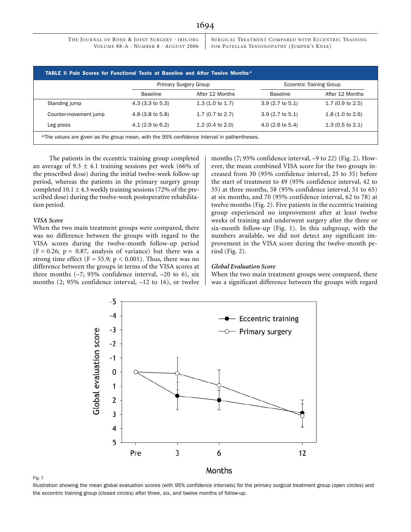SURGICAL TREATMENT COMPARED WITH ECCENTRIC TRAINING FOR PATELLAR TENDINOPATHY (JUMPER'S KNEE)

|                       | <b>Primary Surgery Group</b> |                             | <b>Eccentric Training Group</b> |                             |
|-----------------------|------------------------------|-----------------------------|---------------------------------|-----------------------------|
|                       | <b>Baseline</b>              | After 12 Months             | <b>Baseline</b>                 | After 12 Months             |
| Standing jump         | $(3.3 \text{ to } 5.3)$      | $1.3(1.0 \text{ to } 1.7)$  | $3.9(2.7 \text{ to } 5.1)$      | 1.7 $(0.9 \text{ to } 2.5)$ |
| Counter-movement jump | $4.8$ (3.8 to 5.8)           | $1.7(0.7)$ to $2.7)$        | $3.9(2.7 \text{ to } 5.1)$      | $1.8(1.0 \text{ to } 2.6)$  |
| Leg press             | $4.1(2.9 \text{ to } 6.2)$   | 1.2 $(0.4 \text{ to } 2.0)$ | 4.0 $(2.6 \text{ to } 5.4)$     | $1.3(0.5 \text{ to } 2.1)$  |

The patients in the eccentric training group completed an average of  $9.3 \pm 4.1$  training sessions per week (66% of the prescribed dose) during the initial twelve-week follow-up period, whereas the patients in the primary surgery group completed  $10.1 \pm 4.3$  weekly training sessions (72% of the prescribed dose) during the twelve-week postoperative rehabilitation period.

### *VISA Score*

When the two main treatment groups were compared, there was no difference between the groups with regard to the VISA scores during the twelve-month follow-up period  $(F = 0.26; p = 0.87,$  analysis of variance) but there was a strong time effect (F = 55.9;  $p < 0.001$ ). Thus, there was no difference between the groups in terms of the VISA scores at three months  $(-7; 95\%$  confidence interval,  $-20$  to 6), six months (2; 95% confidence interval, –12 to 16), or twelve months (7; 95% confidence interval, –9 to 22) (Fig. 2). However, the mean combined VISA score for the two groups increased from 30 (95% confidence interval, 25 to 35) before the start of treatment to 49 (95% confidence interval, 42 to 55) at three months, 58 (95% confidence interval, 51 to 65) at six months, and 70 (95% confidence interval, 62 to 78) at twelve months (Fig. 2). Five patients in the eccentric training group experienced no improvement after at least twelve weeks of training and underwent surgery after the three or six-month follow-up (Fig. 1). In this subgroup, with the numbers available, we did not detect any significant improvement in the VISA score during the twelve-month period (Fig. 2).

#### *Global Evaluation Score*

When the two main treatment groups were compared, there was a significant difference between the groups with regard



Fig. 3

Illustration showing the mean global evaluation scores (with 95% confidence intervals) for the primary surgical treatment group (open circles) and the eccentric training group (closed circles) after three, six, and twelve months of follow-up.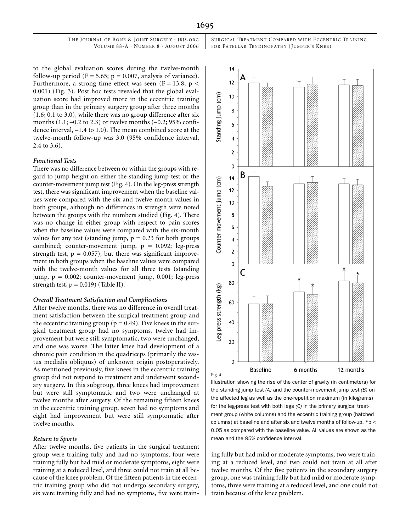SURGICAL TREATMENT COMPARED WITH ECCENTRIC TRAINING FOR PATELLAR TENDINOPATHY (JUMPER'S KNEE)

to the global evaluation scores during the twelve-month follow-up period ( $F = 5.65$ ;  $p = 0.007$ , analysis of variance). Furthermore, a strong time effect was seen (F = 13.8; p < 0.001) (Fig. 3). Post hoc tests revealed that the global evaluation score had improved more in the eccentric training group than in the primary surgery group after three months (1.6; 0.1 to 3.0), while there was no group difference after six months  $(1.1; -0.2$  to  $2.3)$  or twelve months  $(-0.2; 95\% \text{ confi-}$ dence interval, –1.4 to 1.0). The mean combined score at the twelve-month follow-up was 3.0 (95% confidence interval, 2.4 to 3.6).

#### *Functional Tests*

There was no difference between or within the groups with regard to jump height on either the standing jump test or the counter-movement jump test (Fig. 4). On the leg-press strength test, there was significant improvement when the baseline values were compared with the six and twelve-month values in both groups, although no differences in strength were noted between the groups with the numbers studied (Fig. 4). There was no change in either group with respect to pain scores when the baseline values were compared with the six-month values for any test (standing jump,  $p = 0.23$  for both groups combined; counter-movement jump,  $p = 0.092$ ; leg-press strength test,  $p = 0.057$ , but there was significant improvement in both groups when the baseline values were compared with the twelve-month values for all three tests (standing jump,  $p = 0.002$ ; counter-movement jump, 0.001; leg-press strength test,  $p = 0.019$  (Table II).

#### *Overall Treatment Satisfaction and Complications*

After twelve months, there was no difference in overall treatment satisfaction between the surgical treatment group and the eccentric training group ( $p = 0.49$ ). Five knees in the surgical treatment group had no symptoms, twelve had improvement but were still symptomatic, two were unchanged, and one was worse. The latter knee had development of a chronic pain condition in the quadriceps (primarily the vastus medialis obliquus) of unknown origin postoperatively. As mentioned previously, five knees in the eccentric training group did not respond to treatment and underwent secondary surgery. In this subgroup, three knees had improvement but were still symptomatic and two were unchanged at twelve months after surgery. Of the remaining fifteen knees in the eccentric training group, seven had no symptoms and eight had improvement but were still symptomatic after twelve months.

#### *Return to Sports*

After twelve months, five patients in the surgical treatment group were training fully and had no symptoms, four were training fully but had mild or moderate symptoms, eight were training at a reduced level, and three could not train at all because of the knee problem. Of the fifteen patients in the eccentric training group who did not undergo secondary surgery, six were training fully and had no symptoms, five were train-



Illustration showing the rise of the center of gravity (in centimeters) for the standing jump test *(A)* and the counter-movement jump test *(B)* on the affected leg as well as the one-repetition maximum (in kilograms) for the leg-press test with both legs *(C)* in the primary surgical treatment group (white columns) and the eccentric training group (hatched columns) at baseline and after six and twelve months of follow-up. \*p < 0.05 as compared with the baseline value. All values are shown as the mean and the 95% confidence interval.

ing fully but had mild or moderate symptoms, two were training at a reduced level, and two could not train at all after twelve months. Of the five patients in the secondary surgery group, one was training fully but had mild or moderate symptoms, three were training at a reduced level, and one could not train because of the knee problem.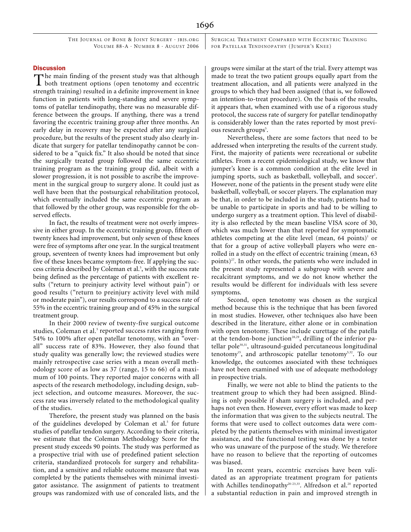SURGICAL TREATMENT COMPARED WITH ECCENTRIC TRAINING FOR PATELLAR TENDINOPATHY (JUMPER'S KNEE)

#### **Discussion**

 $\mathbf{\Gamma}$  he main finding of the present study was that although The main finding of the present study was that although both treatment options (open tenotomy and eccentric strength training) resulted in a definite improvement in knee function in patients with long-standing and severe symptoms of patellar tendinopathy, there was no measurable difference between the groups. If anything, there was a trend favoring the eccentric training group after three months. An early delay in recovery may be expected after any surgical procedure, but the results of the present study also clearly indicate that surgery for patellar tendinopathy cannot be considered to be a "quick fix." It also should be noted that since the surgically treated group followed the same eccentric training program as the training group did, albeit with a slower progression, it is not possible to ascribe the improvement in the surgical group to surgery alone. It could just as well have been that the postsurgical rehabilitation protocol, which eventually included the same eccentric program as that followed by the other group, was responsible for the observed effects.

In fact, the results of treatment were not overly impressive in either group. In the eccentric training group, fifteen of twenty knees had improvement, but only seven of these knees were free of symptoms after one year. In the surgical treatment group, seventeen of twenty knees had improvement but only five of these knees became symptom-free. If applying the success criteria described by Coleman et al.<sup>5</sup>, with the success rate being defined as the percentage of patients with excellent results ("return to preinjury activity level without pain") or good results ("return to preinjury activity level with mild or moderate pain"), our results correspond to a success rate of 55% in the eccentric training group and of 45% in the surgical treatment group.

In their 2000 review of twenty-five surgical outcome studies, Coleman et al.<sup>5</sup> reported success rates ranging from 54% to 100% after open patellar tenotomy, with an "overall" success rate of 83%. However, they also found that study quality was generally low; the reviewed studies were mainly retrospective case series with a mean overall methodology score of as low as 37 (range, 15 to 66) of a maximum of 100 points. They reported major concerns with all aspects of the research methodology, including design, subject selection, and outcome measures. Moreover, the success rate was inversely related to the methodological quality of the studies.

Therefore, the present study was planned on the basis of the guidelines developed by Coleman et al.<sup>5</sup> for future studies of patellar tendon surgery. According to their criteria, we estimate that the Coleman Methodology Score for the present study exceeds 90 points. The study was performed as a prospective trial with use of predefined patient selection criteria, standardized protocols for surgery and rehabilitation, and a sensitive and reliable outcome measure that was completed by the patients themselves with minimal investigator assistance. The assignment of patients to treatment groups was randomized with use of concealed lists, and the groups were similar at the start of the trial. Every attempt was made to treat the two patient groups equally apart from the treatment allocation, and all patients were analyzed in the groups to which they had been assigned (that is, we followed an intention-to-treat procedure). On the basis of the results, it appears that, when examined with use of a rigorous study protocol, the success rate of surgery for patellar tendinopathy is considerably lower than the rates reported by most previous research groups<sup>5</sup>.

Nevertheless, there are some factors that need to be addressed when interpreting the results of the current study. First, the majority of patients were recreational or subelite athletes. From a recent epidemiological study, we know that jumper's knee is a common condition at the elite level in jumping sports, such as basketball, volleyball, and soccer<sup>1</sup>. However, none of the patients in the present study were elite basketball, volleyball, or soccer players. The explanation may be that, in order to be included in the study, patients had to be unable to participate in sports and had to be willing to undergo surgery as a treatment option. This level of disability is also reflected by the mean baseline VISA score of 30, which was much lower than that reported for symptomatic athletes competing at the elite level (mean, 64 points)<sup>1</sup> or that for a group of active volleyball players who were enrolled in a study on the effect of eccentric training (mean, 63 points)<sup>27</sup>. In other words, the patients who were included in the present study represented a subgroup with severe and recalcitrant symptoms, and we do not know whether the results would be different for individuals with less severe symptoms.

Second, open tenotomy was chosen as the surgical method because this is the technique that has been favored in most studies. However, other techniques also have been described in the literature, either alone or in combination with open tenotomy. These include curettage of the patella at the tendon-bone junction<sup>28,29</sup>, drilling of the inferior patellar pole30,31, ultrasound-guided percutaneous longitudinal tenotomy<sup>15</sup>, and arthroscopic patellar tenotomy<sup>5,32</sup>. To our knowledge, the outcomes associated with these techniques have not been examined with use of adequate methodology in prospective trials.

Finally, we were not able to blind the patients to the treatment group to which they had been assigned. Blinding is only possible if sham surgery is included, and perhaps not even then. However, every effort was made to keep the information that was given to the subjects neutral. The forms that were used to collect outcomes data were completed by the patients themselves with minimal investigator assistance, and the functional testing was done by a tester who was unaware of the purpose of the study. We therefore have no reason to believe that the reporting of outcomes was biased.

In recent years, eccentric exercises have been validated as an appropriate treatment program for patients with Achilles tendinopathy<sup>20-23,33</sup>. Alfredson et al.<sup>20</sup> reported a substantial reduction in pain and improved strength in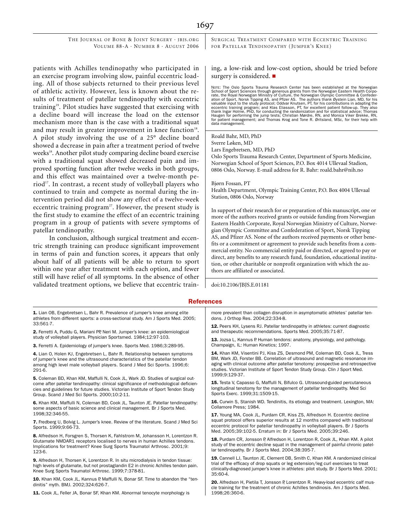SURGICAL TREATMENT COMPARED WITH ECCENTRIC TRAINING FOR PATELLAR TENDINOPATHY (JUMPER'S KNEE)

patients with Achilles tendinopathy who participated in an exercise program involving slow, painful eccentric loading. All of those subjects returned to their previous level of athletic activity. However, less is known about the results of treatment of patellar tendinopathy with eccentric training<sup>19</sup>. Pilot studies have suggested that exercising with a decline board will increase the load on the extensor mechanism more than is the case with a traditional squat and may result in greater improvement in knee function<sup>18</sup>. A pilot study involving the use of a 25° decline board showed a decrease in pain after a treatment period of twelve weeks<sup>18</sup>. Another pilot study comparing decline board exercise with a traditional squat showed decreased pain and improved sporting function after twelve weeks in both groups, and this effect was maintained over a twelve-month period<sup>17</sup>. In contrast, a recent study of volleyball players who continued to train and compete as normal during the intervention period did not show any effect of a twelve-week eccentric training program<sup>27</sup>. However, the present study is the first study to examine the effect of an eccentric training program in a group of patients with severe symptoms of patellar tendinopathy.

In conclusion, although surgical treatment and eccentric strength training can produce significant improvement in terms of pain and function scores, it appears that only about half of all patients will be able to return to sport within one year after treatment with each option, and fewer still will have relief of all symptoms. In the absence of other validated treatment options, we believe that eccentric training, a low-risk and low-cost option, should be tried before surgery is considered.  $\blacksquare$ 

NOTE: The Oslo Sports Trauma Research Center has been established at the Norwegian School of Sport Sciences through generous grants from the Norwegian Eastern Health Corpo-<br>rate, the Royal Norwegian Ministry of Culture, the Norwegian Olympic Committee & Confeder-<br>ation of Sport, Norsk Tipping AS, and Pfi eccentric training program; and Klas Eliasson, PT, for excellent patient follow-up. They also<br>thank Ingar Holme, PhD, for conducting the randomization and for statistical advice; Thomas<br>Haugen for performing the jump tests for patient management; and Thomas Krog and Tone R. Øritsland, MSc, for their help with data management.

Roald Bahr, MD, PhD Sverre Løken, MD Lars Engebretsen, MD, PhD Oslo Sports Trauma Research Center, Department of Sports Medicine, Norwegian School of Sport Sciences, P.O. Box 4014 Ullevaal Stadion, 0806 Oslo, Norway. E-mail address for R. Bahr: roald.bahr@nih.no

Bjørn Fossan, PT

Health Department, Olympic Training Center, P.O. Box 4004 Ullevaal Station, 0806 Oslo, Norway

In support of their research for or preparation of this manuscript, one or more of the authors received grants or outside funding from Norwegian Eastern Health Corporate, Royal Norwegian Ministry of Culture, Norwegian Olympic Committee and Confederation of Sport, Norsk Tipping AS, and Pfizer AS. None of the authors received payments or other benefits or a commitment or agreement to provide such benefits from a commercial entity. No commercial entity paid or directed, or agreed to pay or direct, any benefits to any research fund, foundation, educational institution, or other charitable or nonprofit organization with which the authors are affiliated or associated.

doi:10.2106/JBJS.E.01181

#### References

1. Lian OB, Engebretsen L, Bahr R, Prevalence of jumper's knee among elite athletes from different sports: a cross-sectional study. Am J Sports Med. 2005; 33:561-7.

2. Ferretti A, Puddu G, Mariani PP, Neri M. Jumper's knee: an epidemiological study of volleyball players. Physician Sportsmed. 1984;12:97-103.

3. Ferretti A. Epidemiology of jumper's knee. Sports Med. 1986;3:289-95.

4. Lian O, Holen KJ, Engebretsen L, Bahr R. Relationship between symptoms of jumper's knee and the ultrasound characteristics of the patellar tendon among high level male volleyball players. Scand J Med Sci Sports. 1996;6: 291-6.

5. Coleman BD, Khan KM, Maffulli N, Cook JL, Wark JD. Studies of surgical outcome after patellar tendinopathy: clinical significance of methodological deficiencies and guidelines for future studies. Victorian Institute of Sport Tendon Study Group. Scand J Med Sci Sports. 2000;10:2-11.

6. Khan KM, Maffulli N, Coleman BD, Cook JL, Taunton JE. Patellar tendinopathy: some aspects of basic science and clinical management. Br J Sports Med. 1998;32:346-55.

7. Fredberg U, Bolvig L. Jumper's knee. Review of the literature. Scand J Med Sci Sports. 1999;9:66-73.

8. Alfredson H, Forsgren S, Thorsen K, Fahlstrom M, Johansson H, Lorentzon R. Glutamate NMDAR1 receptors localised to nerves in human Achilles tendons. Implications for treatment? Knee Surg Sports Traumatol Arthrosc. 2001;9: 123-6.

9. Alfredson H, Thorsen K, Lorentzon R. In situ microdialysis in tendon tissue: high levels of glutamate, but not prostaglandin E2 in chronic Achilles tendon pain. Knee Surg Sports Traumatol Arthrosc. 1999;7:378-81.

10. Khan KM, Cook JL, Kannus P, Maffulli N, Bonar SF. Time to abandon the "tendinitis" myth. BMJ. 2002;324:626-7.

11. Cook JL, Feller JA, Bonar SF, Khan KM. Abnormal tenocyte morphology is

more prevalent than collagen disruption in asymptomatic athletes' patellar tendons. J Orthop Res. 2004;22:334-8.

12. Peers KH, Lysens RJ. Patellar tendinopathy in athletes: current diagnostic and therapeutic recommendations. Sports Med. 2005;35:71-87.

13. Jozsa L, Kannus P. Human tendons: anatomy, physiology, and pathology. Champaign, IL: Human Kinetics; 1997.

14. Khan KM, Visentini PJ, Kiss ZS, Desmond PM, Coleman BD, Cook JL, Tress BM, Wark JD, Forster BB. Correlation of ultrasound and magnetic resonance imaging with clinical outcome after patellar tenotomy: prospective and retrospective studies. Victorian Institute of Sport Tendon Study Group. Clin J Sport Med. 1999;9:129-37.

15. Testa V, Capasso G, Maffulli N, Bifulco G. Ultrasound-guided percutaneous longitudinal tenotomy for the management of patellar tendinopathy. Med Sci Sports Exerc. 1999;31:1509-15.

16. Curwin S, Stanish WD. Tendinitis, its etiology and treatment. Lexington, MA: Collamore Press; 1984.

17. Young MA, Cook JL, Purdam CR, Kiss ZS, Alfredson H. Eccentric decline squat protocol offers superior results at 12 months compared with traditional eccentric protocol for patellar tendinopathy in volleyball players. Br J Sports Med. 2005;39:102-5. Erratum in: Br J Sports Med. 2005;39:246.

18. Purdam CR, Jonsson P, Alfredson H, Lorentzon R, Cook JL, Khan KM. A pilot study of the eccentric decline squat in the management of painful chronic patellar tendinopathy. Br J Sports Med. 2004;38:395-7.

19. Cannell LJ, Taunton JE, Clement DB, Smith C, Khan KM. A randomized clinical trial of the efficacy of drop squats or leg extension/leg curl exercises to treat clinically-diagnosed jumper's knee in athletes: pilot study. Br J Sports Med. 2001; 35:60-4.

20. Alfredson H, Pietila T, Jonsson P, Lorentzon R. Heavy-load eccentric calf muscle training for the treatment of chronic Achilles tendinosis. Am J Sports Med. 1998;26:360-6.